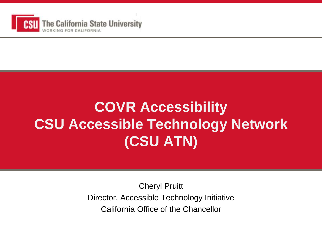

#### **COVR Accessibility CSU Accessible Technology Network (CSU ATN)**

Cheryl Pruitt Director, Accessible Technology Initiative California Office of the Chancellor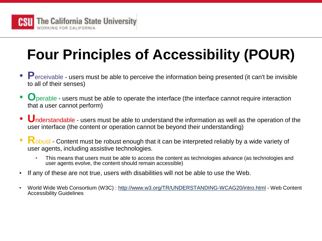

# **Four Principles of Accessibility (POUR)**

- **P**erceivable users must be able to perceive the information being presented (it can't be invisible to all of their senses)
- **O** perable users must be able to operate the interface (the interface cannot require interaction that a user cannot perform)
- **U**nderstandable users must be able to understand the information as well as the operation of the user interface (the content or operation cannot be beyond their understanding)
- Robust Content must be robust enough that it can be interpreted reliably by a wide variety of user agents, including assistive technologies.
	- This means that users must be able to access the content as technologies advance (as technologies and user agents evolve, the content should remain accessible)
- If any of these are not true, users with disabilities will not be able to use the Web.
- World Wide Web Consortium (W3C) :<http://www.w3.org/TR/UNDERSTANDING-WCAG20/intro.html> Web Content Accessibility Guidelines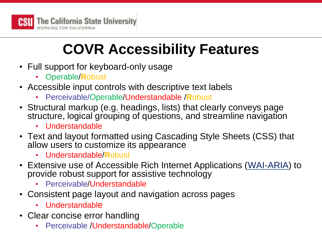

# **COVR Accessibility Features**

- Full support for keyboard-only usage
	- Operable/**R**obust
- Accessible input controls with descriptive text labels
	- Perceivable/Operable/Understandable /**R**obust
- Structural markup (e.g. headings, lists) that clearly conveys page structure, logical grouping of questions, and streamline navigation
	- Understandable
- Text and layout formatted using Cascading Style Sheets (CSS) that allow users to customize its appearance
	- Understandable/**R**obust
- Extensive use of Accessible Rich Internet Applications ([WAI-ARIA](http://www.w3.org/TR/wai-aria/)) to provide robust support for assistive technology
	- Perceivable/Understandable
- Consistent page layout and navigation across pages
	- Understandable
- Clear concise error handling
	- Perceivable /Understandable/Operable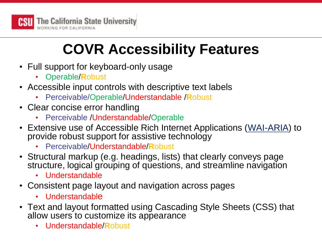

# **COVR Accessibility Features**

- Full support for keyboard-only usage
	- Operable/**R**obust
- Accessible input controls with descriptive text labels
	- Perceivable/Operable/Understandable /**R**obust
- Clear concise error handling
	- Perceivable /Understandable/Operable
- Extensive use of Accessible Rich Internet Applications ([WAI-ARIA](http://www.w3.org/TR/wai-aria/)) to provide robust support for assistive technology
	- Perceivable/Understandable/**R**obust
- Structural markup (e.g. headings, lists) that clearly conveys page structure, logical grouping of questions, and streamline navigation
	- Understandable
- Consistent page layout and navigation across pages
	- Understandable
- Text and layout formatted using Cascading Style Sheets (CSS) that allow users to customize its appearance
	- Understandable/**R**obust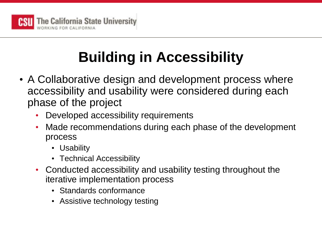

# **Building in Accessibility**

- A Collaborative design and development process where accessibility and usability were considered during each phase of the project
	- Developed accessibility requirements
	- Made recommendations during each phase of the development process
		- Usability
		- Technical Accessibility
	- Conducted accessibility and usability testing throughout the iterative implementation process
		- Standards conformance
		- Assistive technology testing